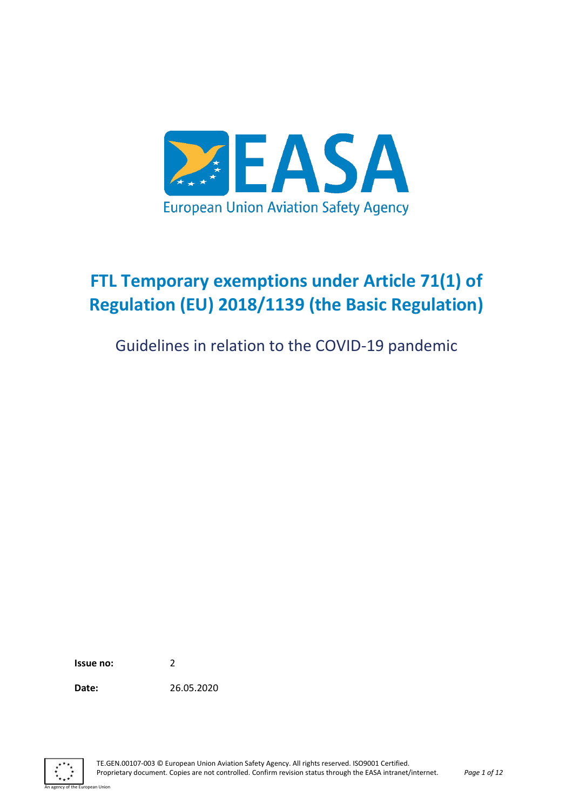

# **FTL Temporary exemptions under Article 71(1) of Regulation (EU) 2018/1139 (the Basic Regulation)**

Guidelines in relation to the COVID-19 pandemic

**Issue no:** 2

an Unio

**Date:** 26.05.2020

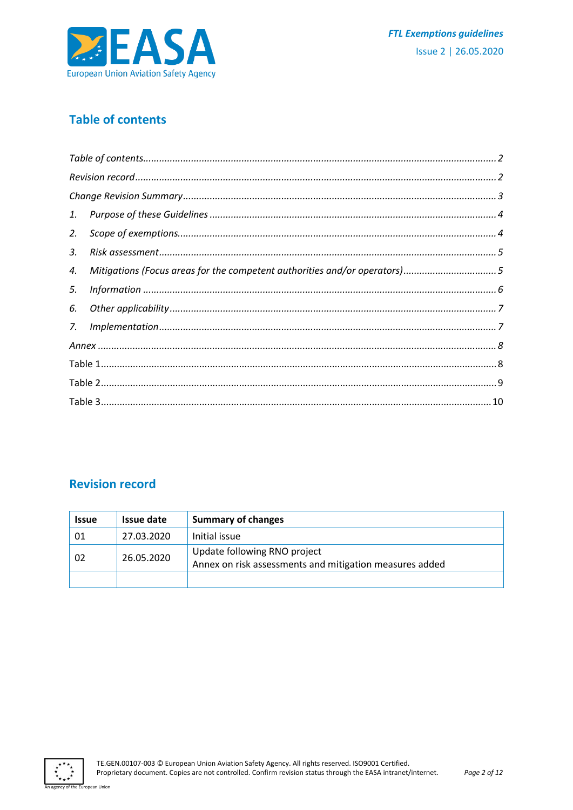

# <span id="page-1-0"></span>**Table of contents**

| 2. |                                                                           |  |  |  |
|----|---------------------------------------------------------------------------|--|--|--|
| 3. |                                                                           |  |  |  |
| 4. | Mitigations (Focus areas for the competent authorities and/or operators)5 |  |  |  |
| 5. |                                                                           |  |  |  |
| 6. |                                                                           |  |  |  |
| 7. |                                                                           |  |  |  |
|    |                                                                           |  |  |  |
|    |                                                                           |  |  |  |
|    |                                                                           |  |  |  |
|    |                                                                           |  |  |  |

### <span id="page-1-1"></span>**Revision record**

| <b>Issue</b> | Issue date | <b>Summary of changes</b>                                                               |
|--------------|------------|-----------------------------------------------------------------------------------------|
| 01           | 27.03.2020 | Initial issue                                                                           |
| 02           | 26.05.2020 | Update following RNO project<br>Annex on risk assessments and mitigation measures added |
|              |            |                                                                                         |



opean Unior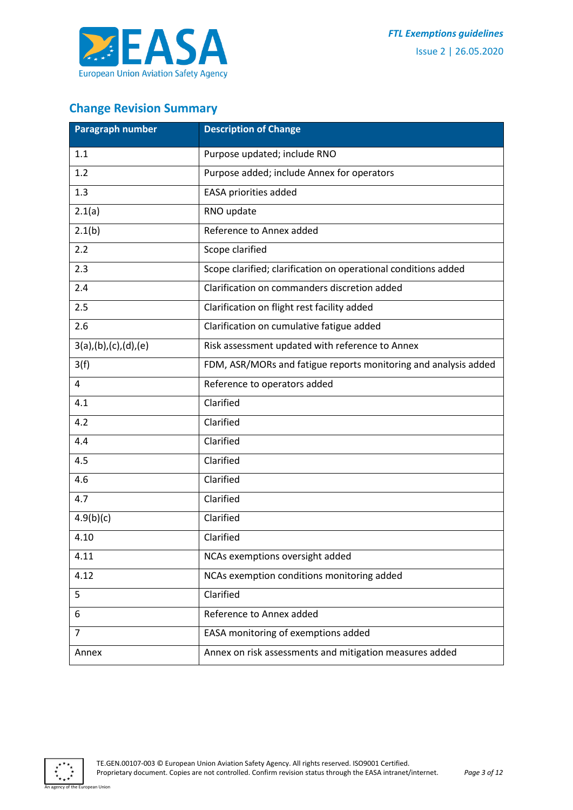

# <span id="page-2-0"></span>**Change Revision Summary**

| Paragraph number     | <b>Description of Change</b>                                    |
|----------------------|-----------------------------------------------------------------|
| 1.1                  | Purpose updated; include RNO                                    |
| 1.2                  | Purpose added; include Annex for operators                      |
| 1.3                  | EASA priorities added                                           |
| 2.1(a)               | RNO update                                                      |
| 2.1(b)               | Reference to Annex added                                        |
| 2.2                  | Scope clarified                                                 |
| 2.3                  | Scope clarified; clarification on operational conditions added  |
| 2.4                  | Clarification on commanders discretion added                    |
| 2.5                  | Clarification on flight rest facility added                     |
| 2.6                  | Clarification on cumulative fatigue added                       |
| 3(a),(b),(c),(d),(e) | Risk assessment updated with reference to Annex                 |
| 3(f)                 | FDM, ASR/MORs and fatigue reports monitoring and analysis added |
| 4                    | Reference to operators added                                    |
| 4.1                  | Clarified                                                       |
| 4.2                  | Clarified                                                       |
| 4.4                  | Clarified                                                       |
| 4.5                  | Clarified                                                       |
| 4.6                  | Clarified                                                       |
| 4.7                  | Clarified                                                       |
| 4.9(b)(c)            | Clarified                                                       |
| 4.10                 | Clarified                                                       |
| 4.11                 | NCAs exemptions oversight added                                 |
| 4.12                 | NCAs exemption conditions monitoring added                      |
| 5                    | Clarified                                                       |
| 6                    | Reference to Annex added                                        |
| $\overline{7}$       | EASA monitoring of exemptions added                             |
| Annex                | Annex on risk assessments and mitigation measures added         |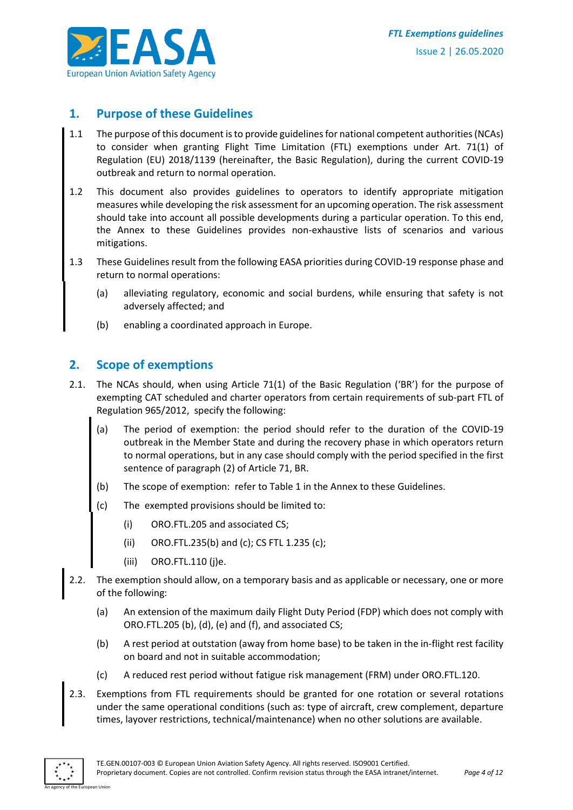

#### <span id="page-3-0"></span>**1. Purpose of these Guidelines**

- 1.1 The purpose of this document is to provide guidelines for national competent authorities (NCAs) to consider when granting Flight Time Limitation (FTL) exemptions under Art. 71(1) of Regulation (EU) 2018/1139 (hereinafter, the Basic Regulation), during the current COVID-19 outbreak and return to normal operation.
- 1.2 This document also provides guidelines to operators to identify appropriate mitigation measures while developing the risk assessment for an upcoming operation. The risk assessment should take into account all possible developments during a particular operation. To this end, the Annex to these Guidelines provides non-exhaustive lists of scenarios and various mitigations.
- 1.3 These Guidelines result from the following EASA priorities during COVID-19 response phase and return to normal operations:
	- (a) alleviating regulatory, economic and social burdens, while ensuring that safety is not adversely affected; and
	- (b) enabling a coordinated approach in Europe.

#### <span id="page-3-1"></span>**2. Scope of exemptions**

- 2.1. The NCAs should, when using Article 71(1) of the Basic Regulation ('BR') for the purpose of exempting CAT scheduled and charter operators from certain requirements of sub-part FTL of Regulation 965/2012, specify the following:
	- (a) The period of exemption: the period should refer to the duration of the COVID-19 outbreak in the Member State and during the recovery phase in which operators return to normal operations, but in any case should comply with the period specified in the first sentence of paragraph (2) of Article 71, BR.
	- (b) The scope of exemption: refer to Table 1 in the Annex to these Guidelines.
	- (c) The exempted provisions should be limited to:
		- (i) ORO.FTL.205 and associated CS;
		- (ii) ORO.FTL.235(b) and (c); CS FTL 1.235 (c);
		- (iii) ORO.FTL.110 (j)e.
- 2.2. The exemption should allow, on a temporary basis and as applicable or necessary, one or more of the following:
	- (a) An extension of the maximum daily Flight Duty Period (FDP) which does not comply with ORO.FTL.205 (b), (d), (e) and (f), and associated CS;
	- (b) A rest period at outstation (away from home base) to be taken in the in-flight rest facility on board and not in suitable accommodation;
	- (c) A reduced rest period without fatigue risk management (FRM) under ORO.FTL.120.
- 2.3. Exemptions from FTL requirements should be granted for one rotation or several rotations under the same operational conditions (such as: type of aircraft, crew complement, departure times, layover restrictions, technical/maintenance) when no other solutions are available.

An agency of the European Union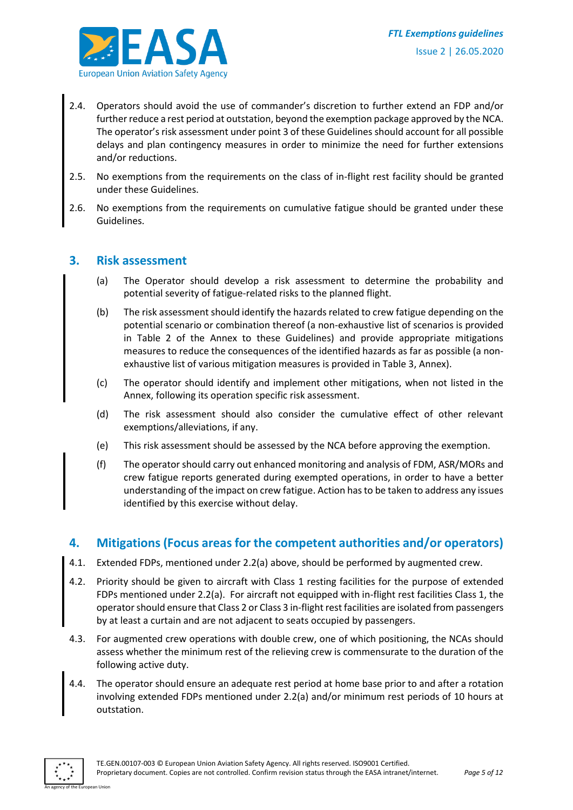

- 2.4. Operators should avoid the use of commander's discretion to further extend an FDP and/or further reduce a rest period at outstation, beyond the exemption package approved by the NCA. The operator's risk assessment under point 3 of these Guidelines should account for all possible delays and plan contingency measures in order to minimize the need for further extensions and/or reductions.
- 2.5. No exemptions from the requirements on the class of in-flight rest facility should be granted under these Guidelines.
- 2.6. No exemptions from the requirements on cumulative fatigue should be granted under these Guidelines.

#### <span id="page-4-0"></span>**3. Risk assessment**

- (a) The Operator should develop a risk assessment to determine the probability and potential severity of fatigue-related risks to the planned flight.
- (b) The risk assessment should identify the hazards related to crew fatigue depending on the potential scenario or combination thereof (a non-exhaustive list of scenarios is provided in Table 2 of the Annex to these Guidelines) and provide appropriate mitigations measures to reduce the consequences of the identified hazards as far as possible (a nonexhaustive list of various mitigation measures is provided in Table 3, Annex).
- (c) The operator should identify and implement other mitigations, when not listed in the Annex, following its operation specific risk assessment.
- (d) The risk assessment should also consider the cumulative effect of other relevant exemptions/alleviations, if any.
- (e) This risk assessment should be assessed by the NCA before approving the exemption.
- (f) The operator should carry out enhanced monitoring and analysis of FDM, ASR/MORs and crew fatigue reports generated during exempted operations, in order to have a better understanding of the impact on crew fatigue. Action has to be taken to address any issues identified by this exercise without delay.

#### <span id="page-4-1"></span>**4. Mitigations (Focus areas for the competent authorities and/or operators)**

- 4.1. Extended FDPs, mentioned under 2.2(a) above, should be performed by augmented crew.
- 4.2. Priority should be given to aircraft with Class 1 resting facilities for the purpose of extended FDPs mentioned under 2.2(a). For aircraft not equipped with in-flight rest facilities Class 1, the operator should ensure that Class 2 or Class 3 in-flight rest facilities are isolated from passengers by at least a curtain and are not adjacent to seats occupied by passengers.
- 4.3. For augmented crew operations with double crew, one of which positioning, the NCAs should assess whether the minimum rest of the relieving crew is commensurate to the duration of the following active duty.
- 4.4. The operator should ensure an adequate rest period at home base prior to and after a rotation involving extended FDPs mentioned under 2.2(a) and/or minimum rest periods of 10 hours at outstation.

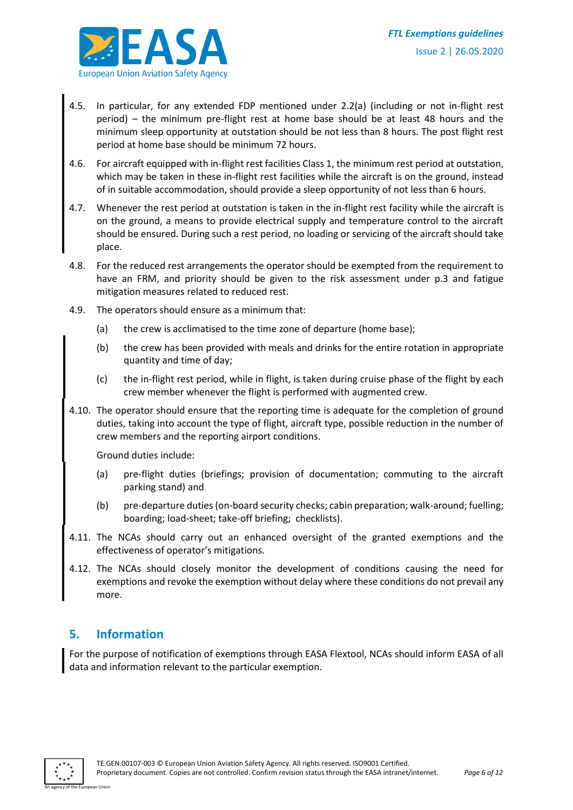

- 4.5. In particular, for any extended FDP mentioned under 2.2(a) (including or not in-flight rest period) – the minimum pre-flight rest at home base should be at least 48 hours and the minimum sleep opportunity at outstation should be not less than 8 hours. The post flight rest period at home base should be minimum 72 hours.
- 4.6. For aircraft equipped with in-flight rest facilities Class 1, the minimum rest period at outstation, which may be taken in these in-flight rest facilities while the aircraft is on the ground, instead of in suitable accommodation, should provide a sleep opportunity of not less than 6 hours.
- 4.7. Whenever the rest period at outstation is taken in the in-flight rest facility while the aircraft is on the ground, a means to provide electrical supply and temperature control to the aircraft should be ensured. During such a rest period, no loading or servicing of the aircraft should take place.
- 4.8. For the reduced rest arrangements the operator should be exempted from the requirement to have an FRM, and priority should be given to the risk assessment under p.3 and fatigue mitigation measures related to reduced rest.
- 4.9. The operators should ensure as a minimum that:
	- (a) the crew is acclimatised to the time zone of departure (home base);
	- (b) the crew has been provided with meals and drinks for the entire rotation in appropriate quantity and time of day;
	- (c) the in-flight rest period, while in flight, is taken during cruise phase of the flight by each crew member whenever the flight is performed with augmented crew.
- 4.10. The operator should ensure that the reporting time is adequate for the completion of ground duties, taking into account the type of flight, aircraft type, possible reduction in the number of crew members and the reporting airport conditions.

Ground duties include:

- (a) pre-flight duties (briefings; provision of documentation; commuting to the aircraft parking stand) and
- (b) pre-departure duties (on-board security checks; cabin preparation; walk-around; fuelling; boarding; load-sheet; take-off briefing; checklists).
- 4.11. The NCAs should carry out an enhanced oversight of the granted exemptions and the effectiveness of operator's mitigations.
- 4.12. The NCAs should closely monitor the development of conditions causing the need for exemptions and revoke the exemption without delay where these conditions do not prevail any more.

#### <span id="page-5-0"></span>**5. Information**

For the purpose of notification of exemptions through EASA Flextool, NCAs should inform EASA of all data and information relevant to the particular exemption.

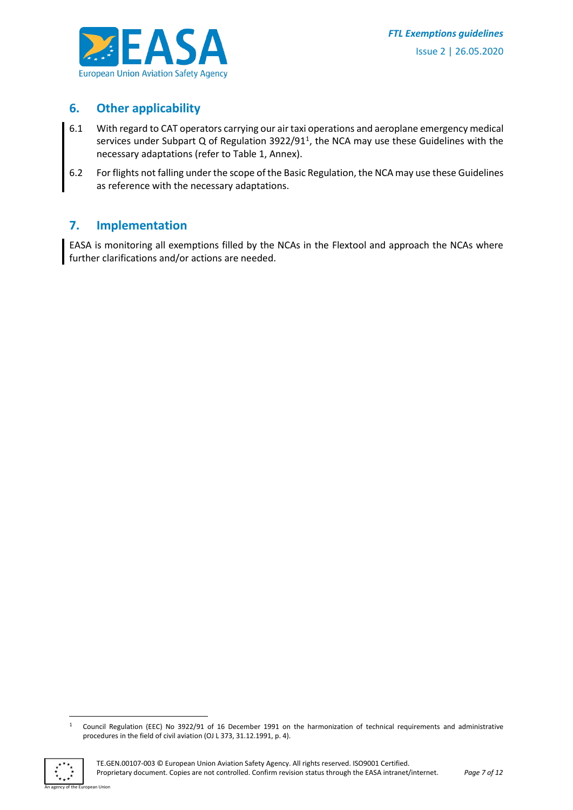

#### <span id="page-6-0"></span>**6. Other applicability**

- 6.1 With regard to CAT operators carrying our air taxi operations and aeroplane emergency medical services under Subpart Q of Regulation 3922/91<sup>1</sup>, the NCA may use these Guidelines with the necessary adaptations (refer to Table 1, Annex).
- 6.2 For flights not falling under the scope of the Basic Regulation, the NCA may use these Guidelines as reference with the necessary adaptations.

#### <span id="page-6-1"></span>**7. Implementation**

EASA is monitoring all exemptions filled by the NCAs in the Flextool and approach the NCAs where further clarifications and/or actions are needed.

 $\mathbf{1}$ <sup>1</sup> Council Regulation (EEC) No 3922/91 of 16 December 1991 on the harmonization of technical requirements and administrative procedures in the field of civil aviation (OJ L 373, 31.12.1991, p. 4).



an Union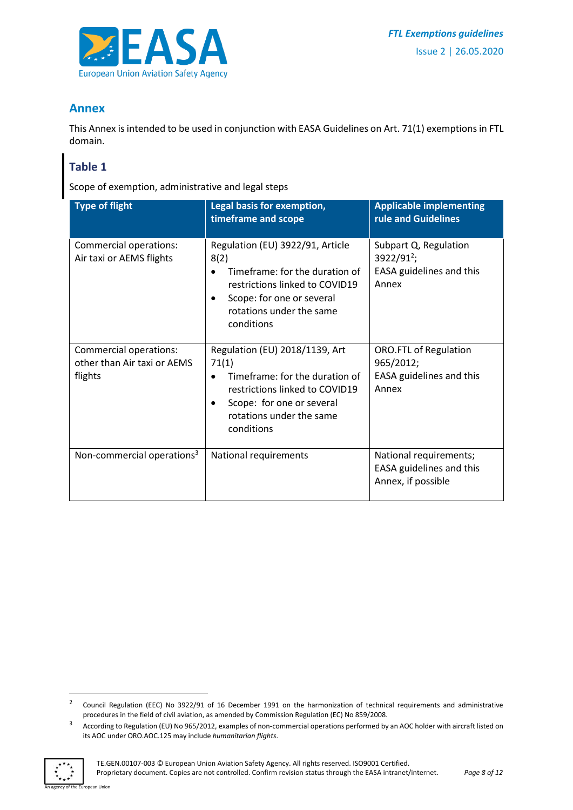

## <span id="page-7-0"></span>**Annex**

This Annex is intended to be used in conjunction with EASA Guidelines on Art. 71(1) exemptions in FTL domain.

## <span id="page-7-1"></span>**Table 1**

Scope of exemption, administrative and legal steps

| <b>Type of flight</b>                                            | Legal basis for exemption,<br>timeframe and scope                                                                                                                                   | <b>Applicable implementing</b><br>rule and Guidelines                                |
|------------------------------------------------------------------|-------------------------------------------------------------------------------------------------------------------------------------------------------------------------------------|--------------------------------------------------------------------------------------|
| Commercial operations:<br>Air taxi or AEMS flights               | Regulation (EU) 3922/91, Article<br>8(2)<br>Timeframe: for the duration of<br>restrictions linked to COVID19<br>Scope: for one or several<br>rotations under the same<br>conditions | Subpart Q, Regulation<br>3922/91 <sup>2</sup> ;<br>EASA guidelines and this<br>Annex |
| Commercial operations:<br>other than Air taxi or AEMS<br>flights | Regulation (EU) 2018/1139, Art<br>71(1)<br>Timeframe: for the duration of<br>restrictions linked to COVID19<br>Scope: for one or several<br>rotations under the same<br>conditions  | <b>ORO.FTL of Regulation</b><br>965/2012;<br>EASA guidelines and this<br>Annex       |
| Non-commercial operations <sup>3</sup>                           | National requirements                                                                                                                                                               | National requirements;<br>EASA guidelines and this<br>Annex, if possible             |

<sup>&</sup>lt;sup>3</sup> According to Regulation (EU) No 965/2012, examples of non-commercial operations performed by an AOC holder with aircraft listed on its AOC under ORO.AOC.125 may include *humanitarian flights*.



1

an Union

<sup>2</sup> Council Regulation (EEC) No 3922/91 of 16 December 1991 on the harmonization of technical requirements and administrative procedures in the field of civil aviation, as amended by Commission Regulation (EC) No 859/2008.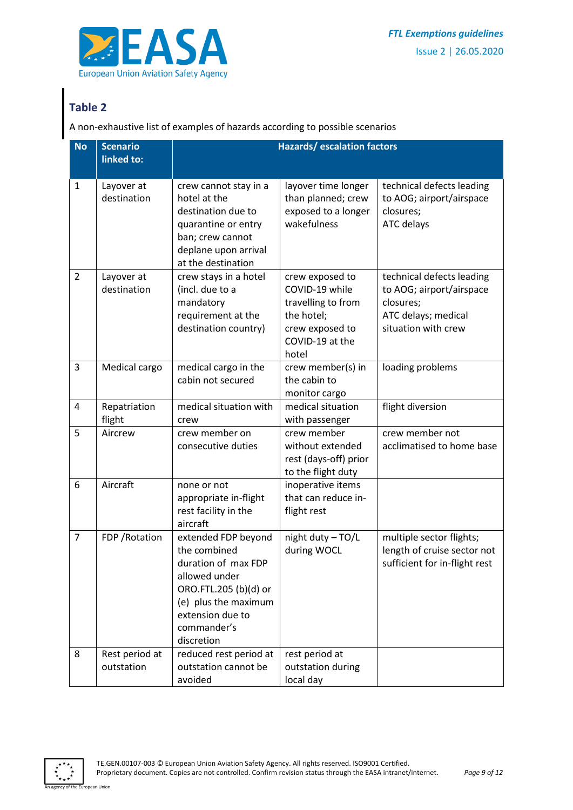

# <span id="page-8-0"></span>**Table 2**

A non-exhaustive list of examples of hazards according to possible scenarios

| <b>No</b>      | <b>Scenario</b><br>linked to: | <b>Hazards/escalation factors</b>                                                                                                                                             |                                                                                                                      |                                                                                                                  |
|----------------|-------------------------------|-------------------------------------------------------------------------------------------------------------------------------------------------------------------------------|----------------------------------------------------------------------------------------------------------------------|------------------------------------------------------------------------------------------------------------------|
| $\mathbf{1}$   | Layover at<br>destination     | crew cannot stay in a<br>hotel at the<br>destination due to<br>quarantine or entry<br>ban; crew cannot<br>deplane upon arrival<br>at the destination                          | layover time longer<br>than planned; crew<br>exposed to a longer<br>wakefulness                                      | technical defects leading<br>to AOG; airport/airspace<br>closures;<br><b>ATC delays</b>                          |
| $\overline{2}$ | Layover at<br>destination     | crew stays in a hotel<br>(incl. due to a<br>mandatory<br>requirement at the<br>destination country)                                                                           | crew exposed to<br>COVID-19 while<br>travelling to from<br>the hotel;<br>crew exposed to<br>COVID-19 at the<br>hotel | technical defects leading<br>to AOG; airport/airspace<br>closures;<br>ATC delays; medical<br>situation with crew |
| 3              | Medical cargo                 | medical cargo in the<br>cabin not secured                                                                                                                                     | crew member(s) in<br>the cabin to<br>monitor cargo                                                                   | loading problems                                                                                                 |
| 4              | Repatriation<br>flight        | medical situation with<br>crew                                                                                                                                                | medical situation<br>with passenger                                                                                  | flight diversion                                                                                                 |
| 5              | Aircrew                       | crew member on<br>consecutive duties                                                                                                                                          | crew member<br>without extended<br>rest (days-off) prior<br>to the flight duty                                       | crew member not<br>acclimatised to home base                                                                     |
| 6              | Aircraft                      | none or not<br>appropriate in-flight<br>rest facility in the<br>aircraft                                                                                                      | inoperative items<br>that can reduce in-<br>flight rest                                                              |                                                                                                                  |
| $\overline{7}$ | FDP / Rotation                | extended FDP beyond<br>the combined<br>duration of max FDP<br>allowed under<br>ORO.FTL.205 (b)(d) or<br>(e) plus the maximum<br>extension due to<br>commander's<br>discretion | night duty - TO/L<br>during WOCL                                                                                     | multiple sector flights;<br>length of cruise sector not<br>sufficient for in-flight rest                         |
| 8              | Rest period at<br>outstation  | reduced rest period at<br>outstation cannot be<br>avoided                                                                                                                     | rest period at<br>outstation during<br>local day                                                                     |                                                                                                                  |



ean Union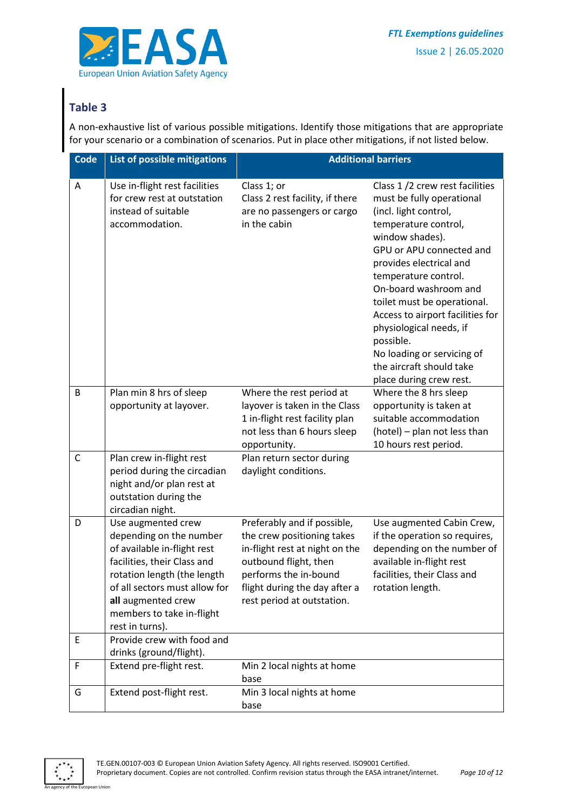

# <span id="page-9-0"></span>**Table 3**

A non-exhaustive list of various possible mitigations. Identify those mitigations that are appropriate for your scenario or a combination of scenarios. Put in place other mitigations, if not listed below.

| <b>Code</b> | List of possible mitigations                                                                                                                                                                                                                      |                                                                                                                                                                                                              | <b>Additional barriers</b>                                                                                                                                                                                                                                                                                                                                                                                                              |
|-------------|---------------------------------------------------------------------------------------------------------------------------------------------------------------------------------------------------------------------------------------------------|--------------------------------------------------------------------------------------------------------------------------------------------------------------------------------------------------------------|-----------------------------------------------------------------------------------------------------------------------------------------------------------------------------------------------------------------------------------------------------------------------------------------------------------------------------------------------------------------------------------------------------------------------------------------|
| Α           | Use in-flight rest facilities<br>for crew rest at outstation<br>instead of suitable<br>accommodation.                                                                                                                                             | Class 1; or<br>Class 2 rest facility, if there<br>are no passengers or cargo<br>in the cabin                                                                                                                 | Class 1/2 crew rest facilities<br>must be fully operational<br>(incl. light control,<br>temperature control,<br>window shades).<br>GPU or APU connected and<br>provides electrical and<br>temperature control.<br>On-board washroom and<br>toilet must be operational.<br>Access to airport facilities for<br>physiological needs, if<br>possible.<br>No loading or servicing of<br>the aircraft should take<br>place during crew rest. |
| B           | Plan min 8 hrs of sleep<br>opportunity at layover.                                                                                                                                                                                                | Where the rest period at<br>layover is taken in the Class<br>1 in-flight rest facility plan<br>not less than 6 hours sleep<br>opportunity.                                                                   | Where the 8 hrs sleep<br>opportunity is taken at<br>suitable accommodation<br>(hotel) - plan not less than<br>10 hours rest period.                                                                                                                                                                                                                                                                                                     |
| C           | Plan crew in-flight rest<br>period during the circadian<br>night and/or plan rest at<br>outstation during the<br>circadian night.                                                                                                                 | Plan return sector during<br>daylight conditions.                                                                                                                                                            |                                                                                                                                                                                                                                                                                                                                                                                                                                         |
| D           | Use augmented crew<br>depending on the number<br>of available in-flight rest<br>facilities, their Class and<br>rotation length (the length<br>of all sectors must allow for<br>all augmented crew<br>members to take in-flight<br>rest in turns). | Preferably and if possible,<br>the crew positioning takes<br>in-flight rest at night on the<br>outbound flight, then<br>performs the in-bound<br>flight during the day after a<br>rest period at outstation. | Use augmented Cabin Crew,<br>if the operation so requires,<br>depending on the number of<br>available in-flight rest<br>facilities, their Class and<br>rotation length.                                                                                                                                                                                                                                                                 |
| E           | Provide crew with food and<br>drinks (ground/flight).                                                                                                                                                                                             |                                                                                                                                                                                                              |                                                                                                                                                                                                                                                                                                                                                                                                                                         |
| F           | Extend pre-flight rest.                                                                                                                                                                                                                           | Min 2 local nights at home<br>base                                                                                                                                                                           |                                                                                                                                                                                                                                                                                                                                                                                                                                         |
| G           | Extend post-flight rest.                                                                                                                                                                                                                          | Min 3 local nights at home<br>base                                                                                                                                                                           |                                                                                                                                                                                                                                                                                                                                                                                                                                         |



an Union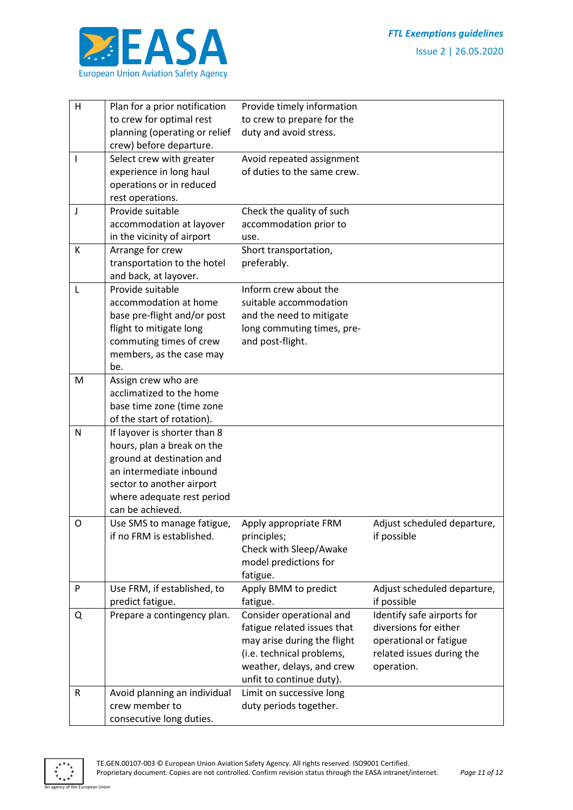

| H         | Plan for a prior notification | Provide timely information       |                                            |
|-----------|-------------------------------|----------------------------------|--------------------------------------------|
|           | to crew for optimal rest      | to crew to prepare for the       |                                            |
|           | planning (operating or relief | duty and avoid stress.           |                                            |
|           | crew) before departure.       |                                  |                                            |
| T         | Select crew with greater      | Avoid repeated assignment        |                                            |
|           | experience in long haul       | of duties to the same crew.      |                                            |
|           | operations or in reduced      |                                  |                                            |
|           | rest operations.              |                                  |                                            |
| J         | Provide suitable              | Check the quality of such        |                                            |
|           | accommodation at layover      | accommodation prior to           |                                            |
|           | in the vicinity of airport    | use.                             |                                            |
| К         | Arrange for crew              | Short transportation,            |                                            |
|           | transportation to the hotel   | preferably.                      |                                            |
|           | and back, at layover.         |                                  |                                            |
| L         | Provide suitable              | Inform crew about the            |                                            |
|           | accommodation at home         | suitable accommodation           |                                            |
|           | base pre-flight and/or post   | and the need to mitigate         |                                            |
|           | flight to mitigate long       | long commuting times, pre-       |                                            |
|           | commuting times of crew       | and post-flight.                 |                                            |
|           | members, as the case may      |                                  |                                            |
|           | be.                           |                                  |                                            |
| M         | Assign crew who are           |                                  |                                            |
|           | acclimatized to the home      |                                  |                                            |
|           | base time zone (time zone     |                                  |                                            |
|           | of the start of rotation).    |                                  |                                            |
| N         | If layover is shorter than 8  |                                  |                                            |
|           | hours, plan a break on the    |                                  |                                            |
|           | ground at destination and     |                                  |                                            |
|           | an intermediate inbound       |                                  |                                            |
|           | sector to another airport     |                                  |                                            |
|           | where adequate rest period    |                                  |                                            |
|           | can be achieved.              |                                  |                                            |
| O         | Use SMS to manage fatigue,    | Apply appropriate FRM            | Adjust scheduled departure,                |
|           | if no FRM is established.     | principles;                      | if possible                                |
|           |                               | Check with Sleep/Awake           |                                            |
|           |                               | model predictions for            |                                            |
| P         | Use FRM, if established, to   | fatigue.                         |                                            |
|           | predict fatigue.              | Apply BMM to predict<br>fatigue. | Adjust scheduled departure,<br>if possible |
| Q         | Prepare a contingency plan.   | Consider operational and         | Identify safe airports for                 |
|           |                               | fatigue related issues that      | diversions for either                      |
|           |                               | may arise during the flight      | operational or fatigue                     |
|           |                               | (i.e. technical problems,        | related issues during the                  |
|           |                               | weather, delays, and crew        | operation.                                 |
|           |                               | unfit to continue duty).         |                                            |
| ${\sf R}$ | Avoid planning an individual  | Limit on successive long         |                                            |
|           | crew member to                | duty periods together.           |                                            |
|           | consecutive long duties.      |                                  |                                            |